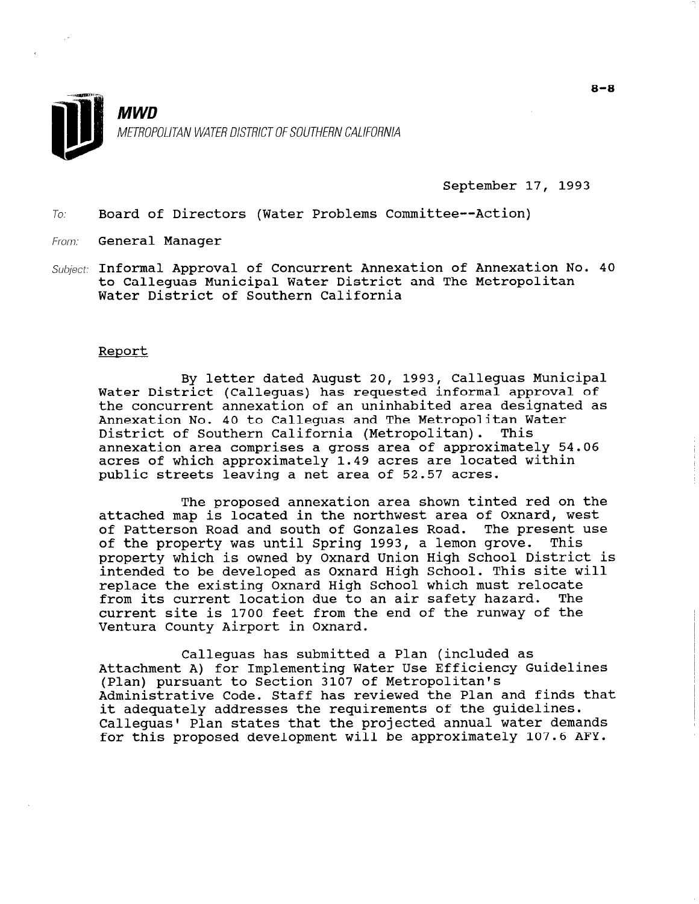

September 17, 1993

To: Board of Directors (Water Problems Committee--Action)

From: General Manager

Subject: Informal Approval of Concurrent Annexation of Annexation No. 40 to Calleguas Municipal Water District and The Metropolitan Water District of Southern California

#### Report

By letter dated August 20, 1993, Calleguas Municipal Water District (Calleguas) has requested informal approval of the concurrent annexation of an uninhabited area designated as Annexation No. 40 to Calleguas and The Metropolitan Water District of Southern California (Metropolitan). This annexation area comprises a gross area of approximately 54.06 acres of which approximately 1.49 acres are located within public streets leaving a net area of 52.57 acres.

The proposed annexation area shown tinted red on the attached map is located in the northwest area of Oxnard, west of Patterson Road and south of Gonzales Road. The present use of the property was until Spring 1993, a lemon grove. This property which is owned by Oxnard Union High School District is intended to be developed as Oxnard High School. This site will replace the existing Oxnard High School which must relocate from its current location due to an air safety hazard. The current site is 1700 feet from the end of the runway of the Ventura County Airport in Oxnard.

Calleguas has submitted a Plan (included as Valleyuas Has submitted a riah (lictuded as<br>Attachment A) for Implementing Water Use Efficiency Guidelin (Plan) pursuant to Section 3107 of Metropolitan's (Plan) pursuant to Section 3107 of Metropolitan's<br>Administrative Code. Staff has reviewed the Plan and finds that it adequately addresses the requirements of the guidelines. Calleguas' Plan states that the projected annual water demands for this proposed development will be approximately 107.6 AFY.

8-8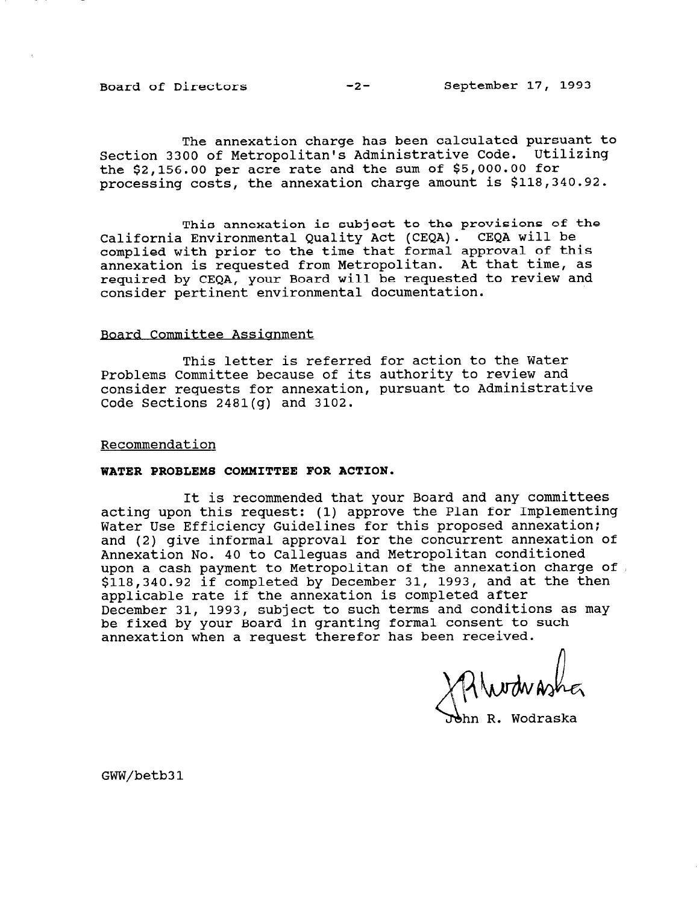Board of Directors -2- September 17, 1993

The annexation charge has been calculated pursuant to Section 3300 of Metropolitan's Administrative Code. Utilizing the \$2,156.00 per acre rate and the sum of \$5,000.00 for processing costs, the annexation charge amount is \$118,340.92.

This annexation is subject to the provisions of the California Environmental Quality Act (CEQA). CEQA will be complied with prior to the time that formal approval of this annexation is requested from Metropolitan. At that time, as required by CEQA, your Board will be requested to review and consider pertinent environmental documentation.

# Board Committee Assiqnment

This letter is referred for action to the Water Problems Committee because of its authority to review and consider requests for annexation, pursuant to Administrative Code Sections 2481(g) and 3102.

# Recommendation

# WATER PROBLEMS COMMITTEE FOR ACTION.

It is recommended that your Board and any committees acting upon this request: (1) approve the Plan for Implementing Water Use Efficiency Guidelines for this proposed annexation; and (2) give informal approval for the concurrent annexation of Annexation No. 40 to Calleguas and Metropolitan conditioned upon a cash payment to Metropolitan of the annexation charge of \$118,340.92 if completed by December 31, 1993, and at the then applicable rate if the annexation is completed after December 31, 1993, subject to such terms and conditions as may be fixed by your Board in granting formal consent to such annexation when a request therefor has been received.

Murduasher

hn R. Wodraska

GWW/betb31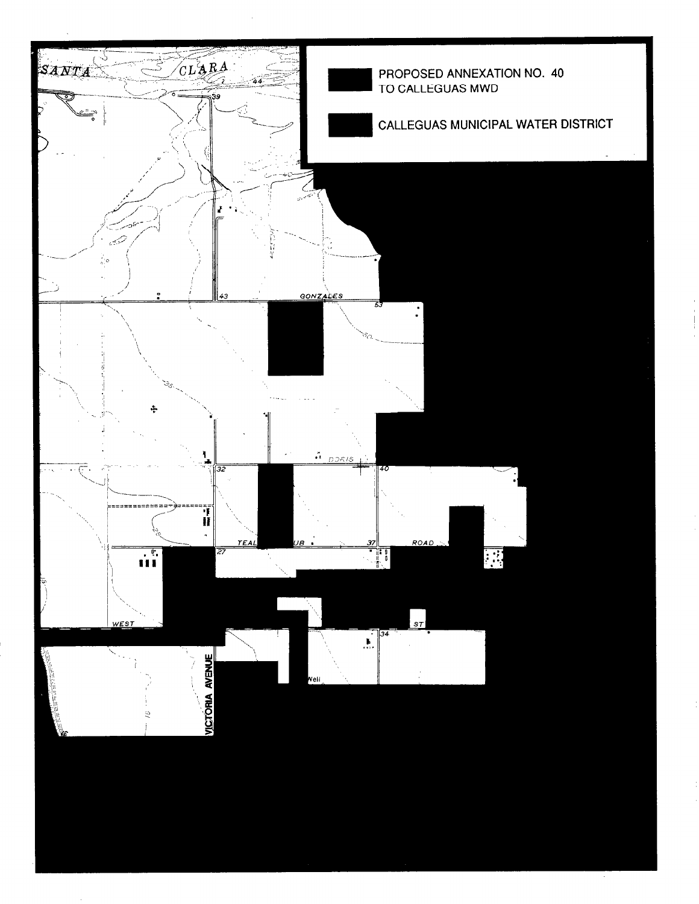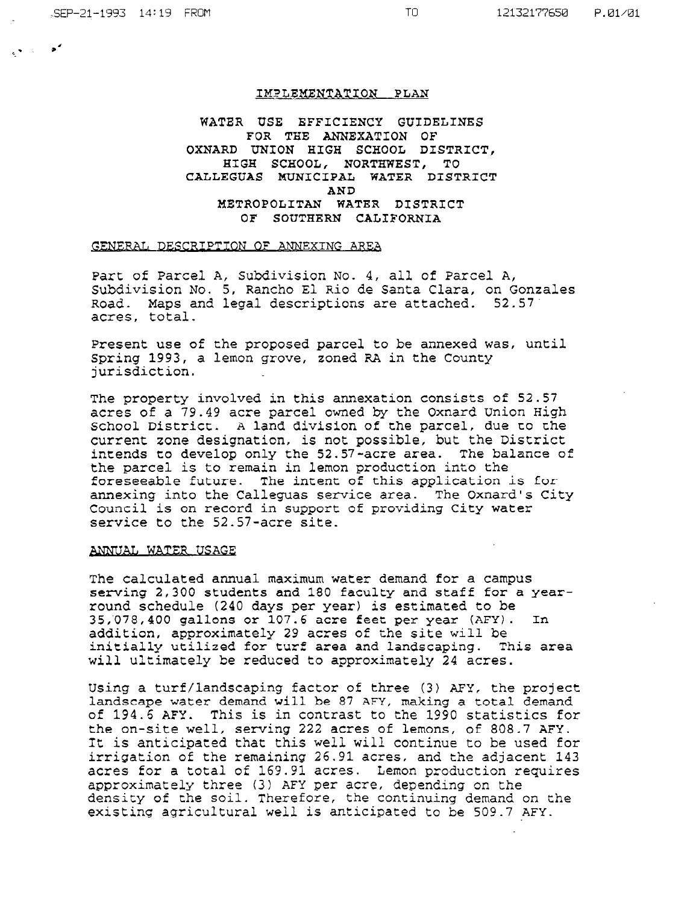#### IMPLEMENTATION PLAN

# WATER USE EFFICIENCY GUIDELINES FOR THE ANNEXATION OF OXNARD UNION HIGH SCHOOL DISTRICT, HIGH SCHOOL, NORTHWEST, TO CALLEGUAS MUNICIPAL WATER DISTRICT AND METROPOLITAN WATER DISTRICT OF SOUTHERN CALIFORNIA

#### GENERAL DESCRIPTION OF ANNEXING AREA

Part of Parcel A, Subdivision No. 4, all of Parcel A, Subdivision No. 5, Rancho El Rio de Santa Clara, on Gonzales Road. Maps and legal descriptions are attached. 52.57 acres, total.

Present use of the proposed parcel to be annexed was, until Spring 1993, a lemon grove, zoned RA in the County jurisdiction.

The property involved in this annexation consists of 52.57 acres of a 79.49 acre parcel owned by the Oxnard Union High School District. A land division of the parcel, due to the current zone designation, is not possible, but the District intends to develop only the 52.57-acre area. The balance of the parcel is to remain in lemon production into the foreseeable future. The intent of this application is for annexing into the Calleguas service area. The Oxnard's City Council is on record in support of providing City water service to the 52.57-acre site.

#### ANNUAL WATER USAGE

The calculated annual maximum water demand for a campus serving 2,300 students and 180 faculty and staff for a yearround schedule (240 days per year) is estimated to be 35,'078,400 gallons or 107.6 acre feet per year (AFY). In addition, approximately 29 acres of the site will be initially utilized for turf area and landscaping. This area initially utilized for turf area and landscaping. This area will ultimately be reduced to approximately 24 acres.

Using a turf/landscaping factor of three (3) AEY, the project landscape water demand will be 87 AFY, making a total demand of 194.6 AFY. This is in contrast to the 1990 statistics for the on-site well, serving 222 acres of Lemons, of 808.7 AEY. It is anticipated that this well will continue to be used for It is anticipated that this well will continue to be used for irrigation of the remaining 26.91 acres, and the adjacent 143 acres for a total of 169.91 acres. Lemon production requires approximately three (3) AFY per acre, depending on the density of the soil. Therefore, the continuing demand on the existing agricultural well is anticipated to be 509.7 AFY.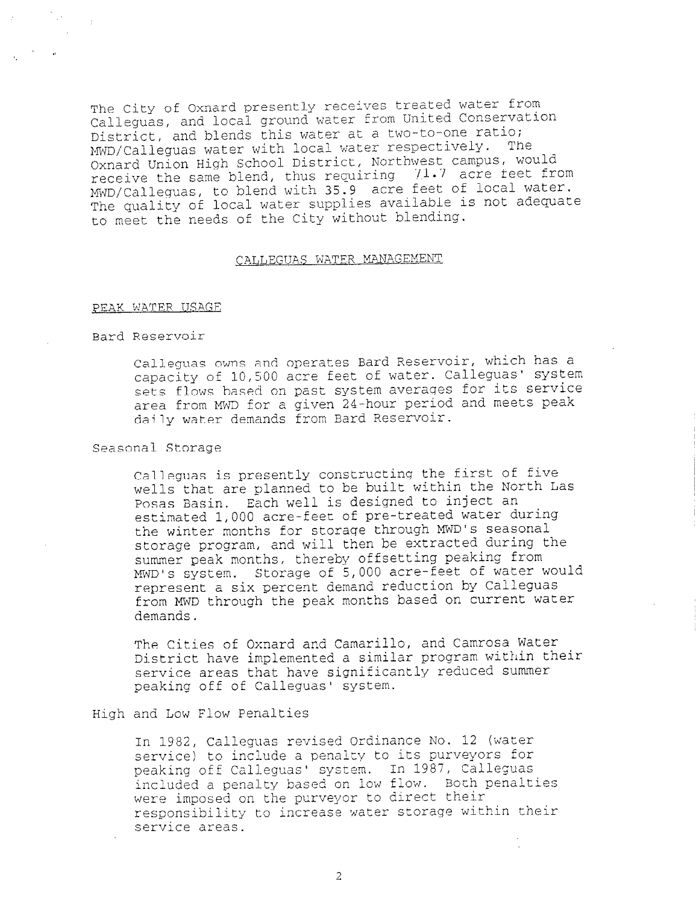The City of Oxnard presently receives treated water from Calleguas, and local ground water from United Conservation District, and blends this water at a two-to-one ratio; MWD/Calleguas water with local water respectively. The Oxnard Union High School District, Northwest campus, would receive the same blend, thus requiring 71.7 acre feet from MWD/Calleguas, to blend with 35.9 acre feet of local water. The quality of local water supplies available is not adequate to meet the needs of the City without blending.

# CALLEGUAS WATER MANAGEMENT

#### FEAK WATER USAGE

# Bard Reservoir

Calleguas owns and operates Bard Reservoir, which has a capacity of 10,500 acre feet of water. Calleguas' system sets flows based on past system averages for its service area from MWD for a given 24-hour period and meets peak daily water demands from Bard Reservoir.

#### Seasonal Storage

Calleguas is presently constructing the first of five wells that are planned to be built within the North Las Posas Basin. Each well is designed to inject an estimated 1,000 acre-feet of pre-treated water during the winter months for storage through MWD's seasonal storage program, and will then be extracted during the summer peak months, thereby offsetting peaking from MWD's system. Storage of 5,000 acre-feet of water would represent a six percent demand reduction by Calleguas from MWD through the peak months based on current water demands.

The Cities of Oxnard and Camarillo, and Camrosa Water District have implemented a similar program within their service areas that have significantly reduced summer peaking off of Calleguas' system.

### High and Low Flow Penalties

In 1982, Calleguas revised Ordinance MO. 12 (water service) to include a penalty to its purveyors for pervice) to include a penalty to its purveyors reservice) to include a penalty to its purveyors re included a penalty based on low f10-v~. Both penalties were imposed as the purveyor to direct their were imposed on the purveyor to unrest their that service areas.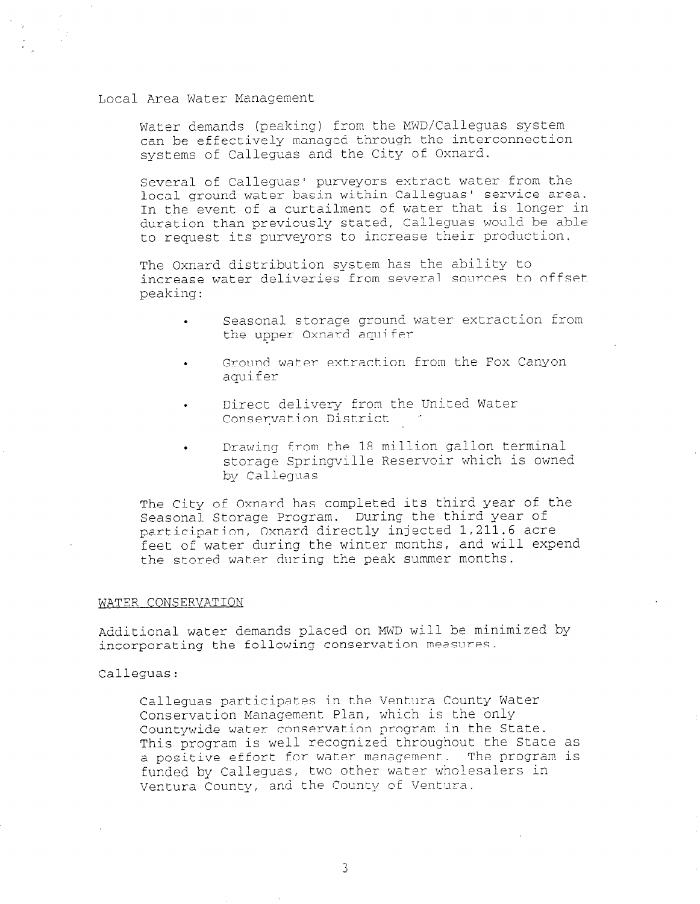#### Local Area Water Management

Water demands (peaking) from the MWD/Calleguas system can be effectively managed through the interconnection systems of Calleguas and the City of Oxnard.

Several of Calleguas' purveyors extract water from the local ground water basin within Calleguas' service area. In the event of a curtailment of water that is longer in duration than previously stated, Calieguas would be able to request its purveyors to increase their production.

The Oxnard distribution system has the ability to increase water deliveries from several sources to offset peaking:

- . Seasonal storage ground water extraction from the upper Oxnard aquifer
- Ground water extraction from the Fox Canyon aquifer
- Direct delivery from the United Water Conservation District
- . Drawing from the 18 million gallon terminal storage Springville Reservoir which is owned by Calleguas

The City of Oxnard has completed its third year of the Seasonal Storage Program. During the third year of participation, Oxnard directly injected 1,211.6 acre feet of water during the winter months, and will expend the stored water during the peak summer months.

#### WATER CONSERVATION

Additional water demands placed on MWD will be minimized by incorporating the following conservation measures.

Calleguas:

Calleguas participates in the Ventura County Water Conservation Management Plan, which is the only Countywide water conservation program in the State. This program is well recognized throughout the State as a positive effort for water management. The program is funded by Calleguas, two other water wholesalers in Ventura County, and the County cf Ventura.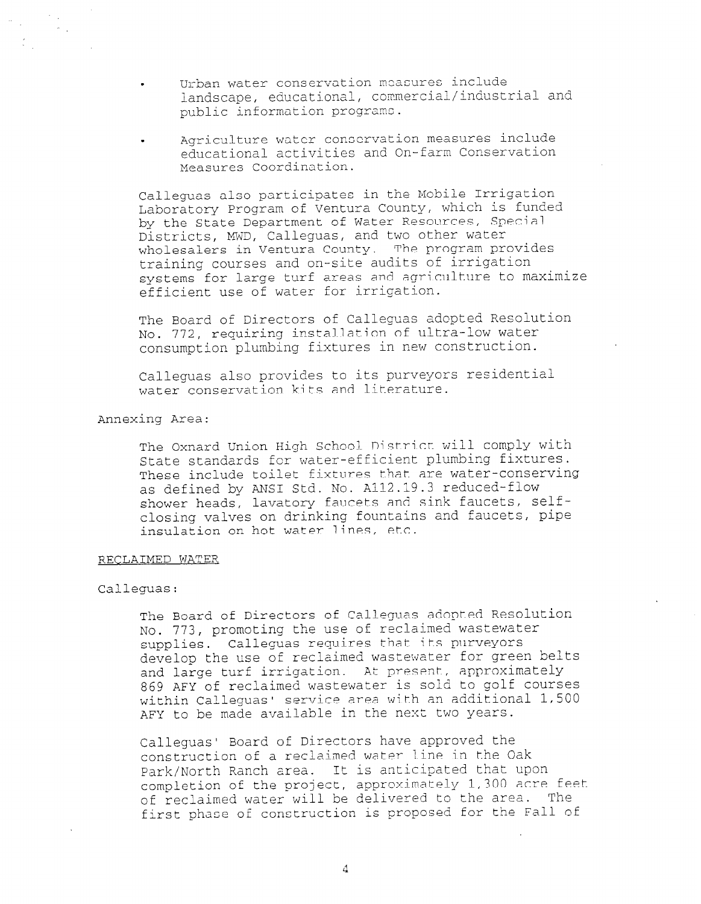. Urban water conservation measures include landscape, educational, commercial/industrial and public information programs.

. Agriculture water conservation measures include educational activities and On-farm Conservation Measures Coordination.

Calleguas also participates in the Mobile Irrigation Laboratory Program of Ventura County, which is funded by the State Department of Water Resources, Special Districts, MWD, Calleguas, and two other water wholesalers in Ventura County. The program provides training courses and on-site audits of irrigation systems for large turf areas and agriculture to maximize efficient use of water for irrigation.

The Board of Directors of Calleguas adopted Resolution No. 772, requiring installation of ultra-low water consumption plumbing fixtures in new construction.

Calleguas also provides to its purveyors residential water conservation kits and literature.

Annexing Area:

The Oxnard Union High School District will comply with State standards for water-efficient plumbing fixtures. These include toilet fixtures that are water-conserving as defined by ANSI Std. No. A112.19.3 reduced-flow shower heads, lavatory faucets and sink faucets, selfclosing valves on drinking fountains and faucets, pipe insulation on hot water lines, etc.

## RECLAIMED WATER

# Calleguas:

The Board of Directors of Calleguas adopted Resolution No. 773, promoting the use of reclaimed wastewater supplies. Calleguas requires that its purveyors develop the use of reclaimed wastewater for green belts and large turf irrigation. At present, approximately 869 AFY of reclaimed wastewater is sold to golf courses within Calleguas' service area with an additional 1,500 AFY to be made available in the next two years.

Calleguas' Board of Directors have approved the construction of a reclaimed water line in the Oak Park/North Ranch area. It is anticipated that upon completion of the project, approximately 1,300 acre feet of reclaimed water will be delivered to the area. The first phase of construction is proposed for the Fall of

4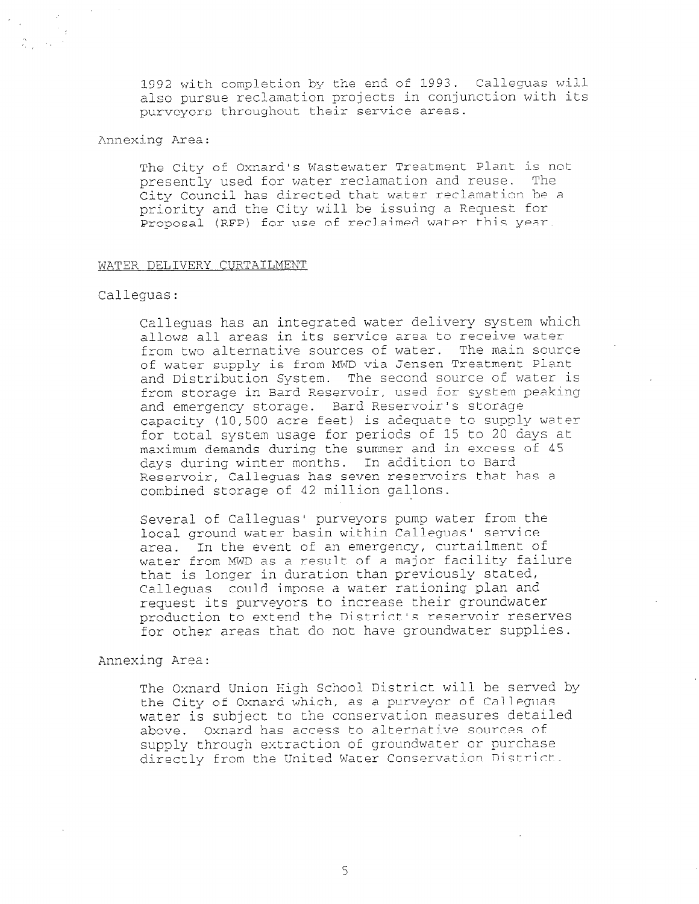1992 with completion by the end of 1993. Calleguas will also pursue reclamation projects in conjunction with its purveyors throughout their service areas.

# Annexing Area:

 $\mathcal{Z} \subset \mathbb{R}^{n \times n}$ 

The City of Oxnard's Wastewater Treatment Plant is not presently used for water reclamation and reuse. The City Council has directed that water reclamation be a priority and the City will be issuing a Request for Proposal (RFP) for use of reclaimed water this year.

### WATER DELIVERY CURTAILMENT

# Calleguas:

Calleguas has an integrated water delivery system which allows all areas in its service area to receive water from two alternative sources of water. The main source of water supply is from MWD via Jensen Treatment Plant and Distribution System. The second source of water is from storage in Bard Reservoir, used for system peaking and emergency storage. Bard Reservoir's storage capacity (10,500 acre feet) is adequate to supply water for total system usage for periods of 15 to 20 days at maximum demands during the summer and in excess of 45 days during winter months. In addition to Bard Reservoir, Calleguas has seven reservoirs that has a combined storage of 42 million gallons.

Several of Calleguas' purveyors pump water from the local ground water basin within Calleguas' service area. In the event of an emergency, curtailment of water from MWD as a result of a major facility failure that is longer in duration than previously stated, Calleguas could impose a water rationing plan and request its purveyors to increase their groundwater production to extend the District's reservoir reserves for other areas that do not have groundwater supplies.

Annexing Area:

The Oxnard Union High School District will be served by the City of Oxnard which, as a purveyor of Calleguas water is subject to the conservation measures detailed above. Oxnard has access to alternative sources of supply through extraction of groundwater or purchase directly from the United Water Conservation District.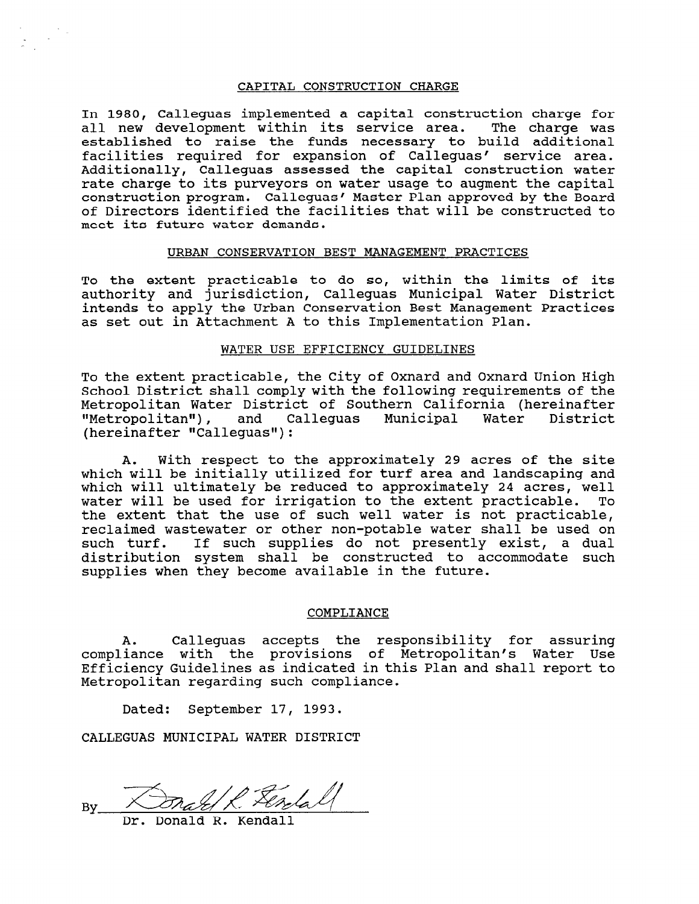#### CAPITAL CONSTRUCTION CHARGE

In 1980, Calleguas implemented a capital construction charge for all new development within its service area. The charge was established to raise the funds necessary to build additional facilities required for expansion of Calleguas' service area. Additionally, Calleguas assessed the capital construction water rate charge to its purveyors on water usage to augment the capital construction program. Calleguas' Master Plan approved by the Board of Directors identified the facilities that will be constructed to meet its future water demands.

## URBAN CONSERVATION BEST MANAGEMENT PRACTICES

To the extent practicable to do so, within the limits of its authority and jurisdiction, Calleguas Municipal Water District intends to apply the Urban Conservation Best Management Practices as set out in Attachment A to this Implementation Plan.

# WATER USE EFFICIENCY GUIDELINES

To the extent practicable, the City of Oxnard and Oxnard Union High School District shall comply with the following requirements of the Metropolitan Water District of Southern California (hereinafter liceroporrean macer siscrice or seachern carriering (nerormar<br>"Metropolitan"), and Calleguas Municipal Water Distr "Metropolitan"), and C<br>(hereinafter "Calleguas"):

A. With respect to the approximately 29 acres of the site which will be initially utilized for turf area and landscaping and which will ultimately be reduced to approximately 24 acres, well water will be used for irrigation to the extent practicable. To the extent that the use of such well water is not practicable, reclaimed wastewater or other non-potable water shall be used on such turf. If such supplies do not presently exist, a dual distribution system shall be constructed to accommodate such supplies when they become available in the future.

#### COMPLIANCE

A. Calleguas accepts the responsibility for assuring compliance with the provisions of Metropolitan's Water Use Efficiency Guidelines as indicated in this Plan and shall report to Metropolitan regarding such compliance.

Dated: September 17, 1993.

CALLEGUAS MUNICIPAL WATER DISTRICT

 $\mathbf{D}_{\mathbf{S}}$  $\frac{1}{2}$